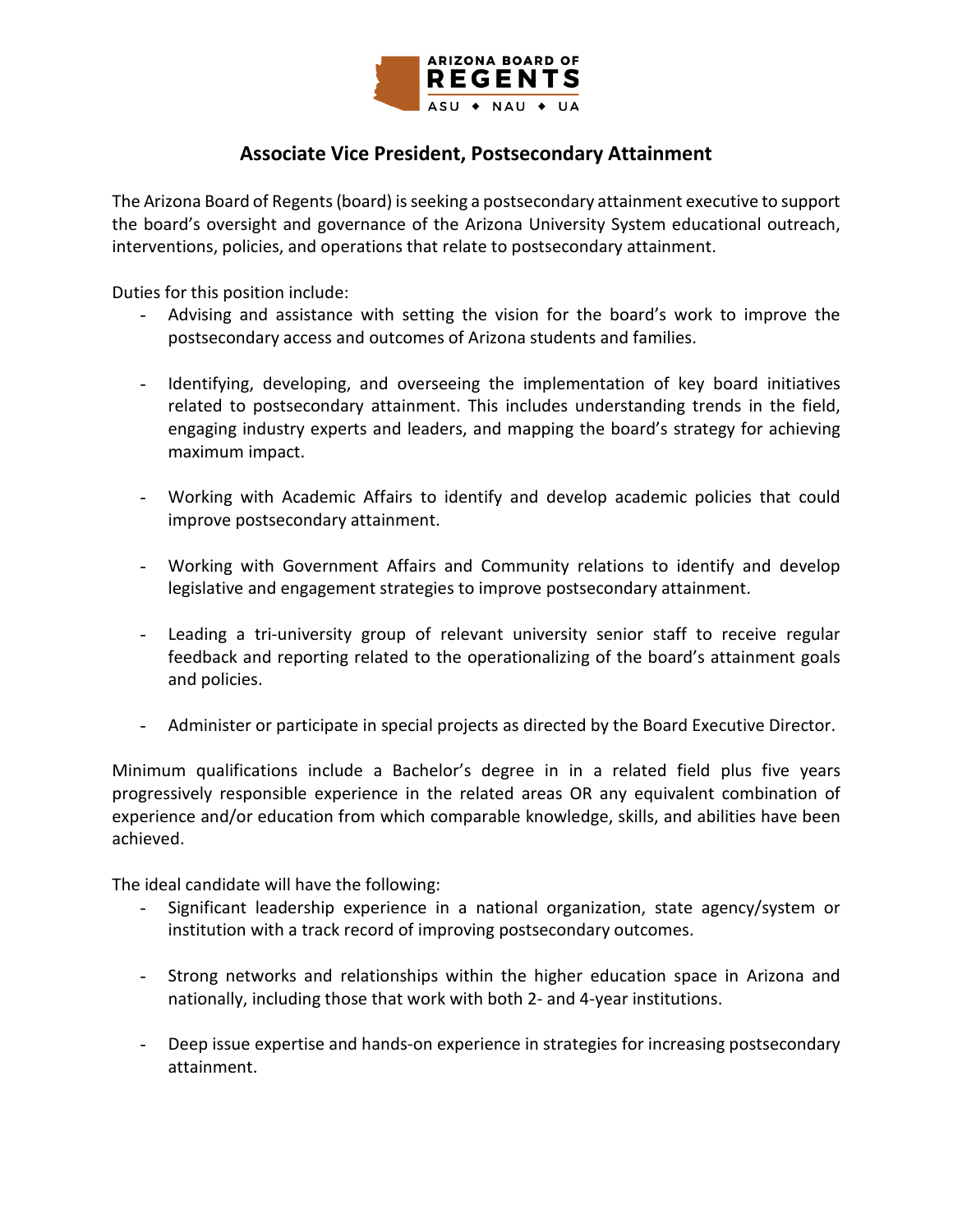

## **Associate Vice President, Postsecondary Attainment**

The Arizona Board of Regents (board) is seeking a postsecondary attainment executive to support the board's oversight and governance of the Arizona University System educational outreach, interventions, policies, and operations that relate to postsecondary attainment.

Duties for this position include:

- Advising and assistance with setting the vision for the board's work to improve the postsecondary access and outcomes of Arizona students and families.
- Identifying, developing, and overseeing the implementation of key board initiatives related to postsecondary attainment. This includes understanding trends in the field, engaging industry experts and leaders, and mapping the board's strategy for achieving maximum impact.
- Working with Academic Affairs to identify and develop academic policies that could improve postsecondary attainment.
- Working with Government Affairs and Community relations to identify and develop legislative and engagement strategies to improve postsecondary attainment.
- Leading a tri-university group of relevant university senior staff to receive regular feedback and reporting related to the operationalizing of the board's attainment goals and policies.
- Administer or participate in special projects as directed by the Board Executive Director.

Minimum qualifications include a Bachelor's degree in in a related field plus five years progressively responsible experience in the related areas OR any equivalent combination of experience and/or education from which comparable knowledge, skills, and abilities have been achieved.

The ideal candidate will have the following:

- Significant leadership experience in a national organization, state agency/system or institution with a track record of improving postsecondary outcomes.
- Strong networks and relationships within the higher education space in Arizona and nationally, including those that work with both 2- and 4-year institutions.
- Deep issue expertise and hands-on experience in strategies for increasing postsecondary attainment.